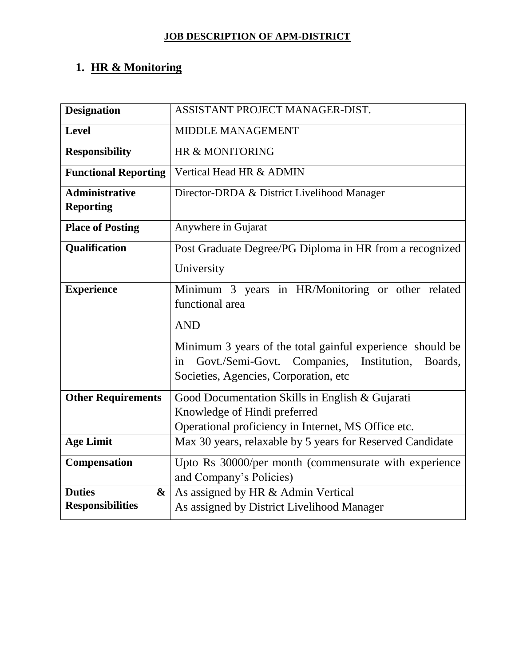# **1. HR & Monitoring**

| <b>Designation</b>                        | ASSISTANT PROJECT MANAGER-DIST.                                                                                                                                    |
|-------------------------------------------|--------------------------------------------------------------------------------------------------------------------------------------------------------------------|
| <b>Level</b>                              | <b>MIDDLE MANAGEMENT</b>                                                                                                                                           |
| <b>Responsibility</b>                     | HR & MONITORING                                                                                                                                                    |
| <b>Functional Reporting</b>               | Vertical Head HR & ADMIN                                                                                                                                           |
| <b>Administrative</b><br><b>Reporting</b> | Director-DRDA & District Livelihood Manager                                                                                                                        |
| <b>Place of Posting</b>                   | Anywhere in Gujarat                                                                                                                                                |
| <b>Qualification</b>                      | Post Graduate Degree/PG Diploma in HR from a recognized                                                                                                            |
|                                           | University                                                                                                                                                         |
| <b>Experience</b>                         | Minimum 3 years in HR/Monitoring or other related<br>functional area                                                                                               |
|                                           | <b>AND</b>                                                                                                                                                         |
|                                           | Minimum 3 years of the total gainful experience should be<br>Govt./Semi-Govt. Companies,<br>Institution,<br>Boards,<br>in<br>Societies, Agencies, Corporation, etc |
| <b>Other Requirements</b>                 | Good Documentation Skills in English & Gujarati                                                                                                                    |
|                                           | Knowledge of Hindi preferred<br>Operational proficiency in Internet, MS Office etc.                                                                                |
| <b>Age Limit</b>                          | Max 30 years, relaxable by 5 years for Reserved Candidate                                                                                                          |
| Compensation                              | Upto Rs 30000/per month (commensurate with experience<br>and Company's Policies)                                                                                   |
| <b>Duties</b><br>$\boldsymbol{\&}$        | As assigned by HR & Admin Vertical                                                                                                                                 |
| <b>Responsibilities</b>                   | As assigned by District Livelihood Manager                                                                                                                         |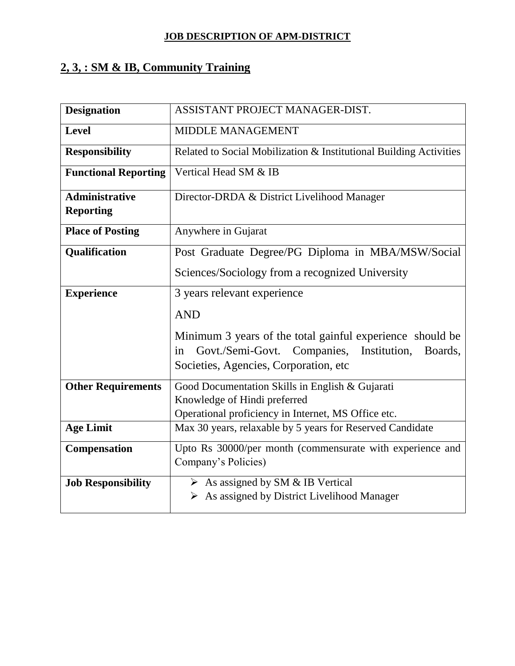# **2, 3, : SM & IB, Community Training**

| <b>Designation</b>          | ASSISTANT PROJECT MANAGER-DIST.                                    |
|-----------------------------|--------------------------------------------------------------------|
| <b>Level</b>                | <b>MIDDLE MANAGEMENT</b>                                           |
| <b>Responsibility</b>       | Related to Social Mobilization & Institutional Building Activities |
| <b>Functional Reporting</b> | Vertical Head SM & IB                                              |
| <b>Administrative</b>       | Director-DRDA & District Livelihood Manager                        |
| <b>Reporting</b>            |                                                                    |
| <b>Place of Posting</b>     | Anywhere in Gujarat                                                |
| <b>Qualification</b>        | Post Graduate Degree/PG Diploma in MBA/MSW/Social                  |
|                             | Sciences/Sociology from a recognized University                    |
| <b>Experience</b>           | 3 years relevant experience                                        |
|                             | <b>AND</b>                                                         |
|                             | Minimum 3 years of the total gainful experience should be          |
|                             | Govt./Semi-Govt. Companies, Institution,<br>Boards,<br>in          |
|                             | Societies, Agencies, Corporation, etc                              |
| <b>Other Requirements</b>   | Good Documentation Skills in English & Gujarati                    |
|                             | Knowledge of Hindi preferred                                       |
|                             | Operational proficiency in Internet, MS Office etc.                |
| <b>Age Limit</b>            | Max 30 years, relaxable by 5 years for Reserved Candidate          |
| Compensation                | Upto Rs 30000/per month (commensurate with experience and          |
|                             | Company's Policies)                                                |
| <b>Job Responsibility</b>   | $\triangleright$ As assigned by SM & IB Vertical                   |
|                             | $\triangleright$ As assigned by District Livelihood Manager        |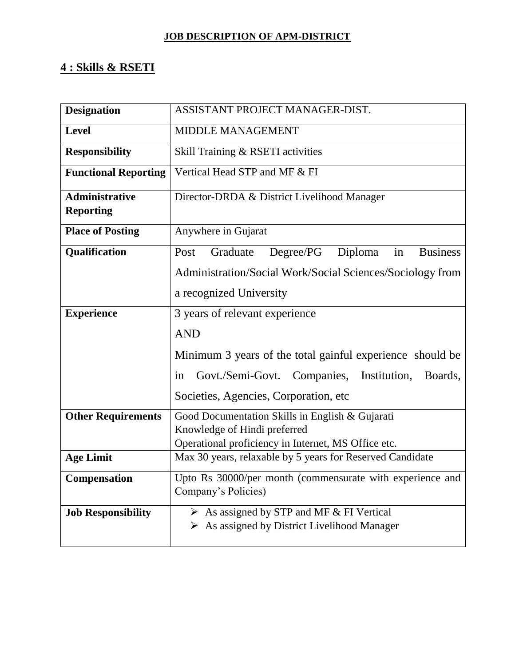# **4 : Skills & RSETI**

| <b>Designation</b>          | ASSISTANT PROJECT MANAGER-DIST.                                   |
|-----------------------------|-------------------------------------------------------------------|
| <b>Level</b>                | <b>MIDDLE MANAGEMENT</b>                                          |
| <b>Responsibility</b>       | Skill Training & RSETI activities                                 |
| <b>Functional Reporting</b> | Vertical Head STP and MF & FI                                     |
| <b>Administrative</b>       | Director-DRDA & District Livelihood Manager                       |
| <b>Reporting</b>            |                                                                   |
| <b>Place of Posting</b>     | Anywhere in Gujarat                                               |
| Qualification               | Degree/PG<br>Diploma<br><b>Business</b><br>Post<br>Graduate<br>in |
|                             | Administration/Social Work/Social Sciences/Sociology from         |
|                             | a recognized University                                           |
| <b>Experience</b>           | 3 years of relevant experience                                    |
|                             | <b>AND</b>                                                        |
|                             |                                                                   |
|                             | Minimum 3 years of the total gainful experience should be         |
|                             | Govt./Semi-Govt. Companies, Institution,<br>Boards,<br>in         |
|                             | Societies, Agencies, Corporation, etc.                            |
| <b>Other Requirements</b>   | Good Documentation Skills in English & Gujarati                   |
|                             | Knowledge of Hindi preferred                                      |
|                             | Operational proficiency in Internet, MS Office etc.               |
| <b>Age Limit</b>            | Max 30 years, relaxable by 5 years for Reserved Candidate         |
| <b>Compensation</b>         | Upto Rs 30000/per month (commensurate with experience and         |
|                             | Company's Policies)                                               |
| <b>Job Responsibility</b>   | $\triangleright$ As assigned by STP and MF & FI Vertical          |
|                             | As assigned by District Livelihood Manager<br>➤                   |
|                             |                                                                   |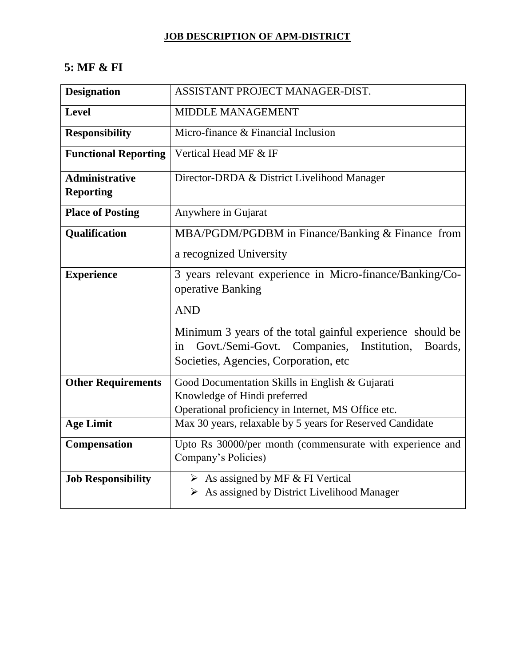## **5: MF & FI**

| <b>Designation</b>                        | ASSISTANT PROJECT MANAGER-DIST.                                                                                                                                    |
|-------------------------------------------|--------------------------------------------------------------------------------------------------------------------------------------------------------------------|
| <b>Level</b>                              | <b>MIDDLE MANAGEMENT</b>                                                                                                                                           |
| <b>Responsibility</b>                     | Micro-finance & Financial Inclusion                                                                                                                                |
| <b>Functional Reporting</b>               | Vertical Head MF & IF                                                                                                                                              |
| <b>Administrative</b><br><b>Reporting</b> | Director-DRDA & District Livelihood Manager                                                                                                                        |
| <b>Place of Posting</b>                   | Anywhere in Gujarat                                                                                                                                                |
| Qualification                             | MBA/PGDM/PGDBM in Finance/Banking & Finance from                                                                                                                   |
|                                           | a recognized University                                                                                                                                            |
| <b>Experience</b>                         | 3 years relevant experience in Micro-finance/Banking/Co-<br>operative Banking                                                                                      |
|                                           | <b>AND</b>                                                                                                                                                         |
|                                           | Minimum 3 years of the total gainful experience should be<br>Govt./Semi-Govt. Companies,<br>Institution,<br>Boards,<br>in<br>Societies, Agencies, Corporation, etc |
| <b>Other Requirements</b>                 | Good Documentation Skills in English & Gujarati                                                                                                                    |
|                                           | Knowledge of Hindi preferred<br>Operational proficiency in Internet, MS Office etc.                                                                                |
| <b>Age Limit</b>                          | Max 30 years, relaxable by 5 years for Reserved Candidate                                                                                                          |
| Compensation                              | Upto Rs 30000/per month (commensurate with experience and<br>Company's Policies)                                                                                   |
| <b>Job Responsibility</b>                 | $\triangleright$ As assigned by MF & FI Vertical                                                                                                                   |
|                                           | > As assigned by District Livelihood Manager                                                                                                                       |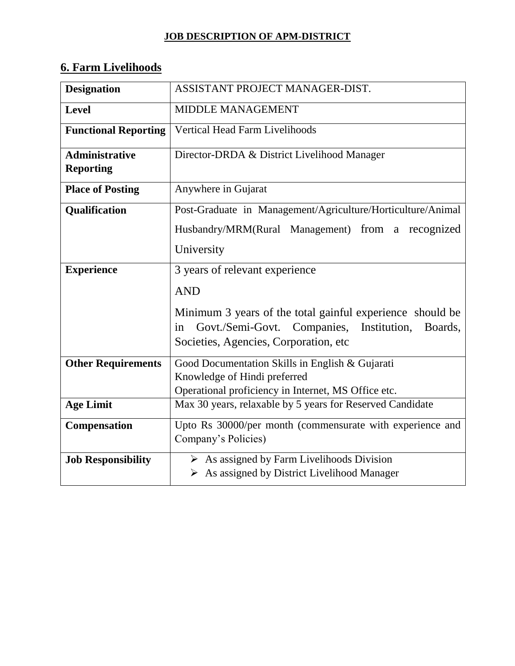# **6. Farm Livelihoods**

| <b>Designation</b>                        | ASSISTANT PROJECT MANAGER-DIST.                                                                                                                                  |
|-------------------------------------------|------------------------------------------------------------------------------------------------------------------------------------------------------------------|
| <b>Level</b>                              | MIDDLE MANAGEMENT                                                                                                                                                |
| <b>Functional Reporting</b>               | Vertical Head Farm Livelihoods                                                                                                                                   |
| <b>Administrative</b><br><b>Reporting</b> | Director-DRDA & District Livelihood Manager                                                                                                                      |
| <b>Place of Posting</b>                   | Anywhere in Gujarat                                                                                                                                              |
| Qualification                             | Post-Graduate in Management/Agriculture/Horticulture/Animal                                                                                                      |
|                                           | Husbandry/MRM(Rural Management) from a recognized                                                                                                                |
|                                           | University                                                                                                                                                       |
| <b>Experience</b>                         | 3 years of relevant experience                                                                                                                                   |
|                                           | <b>AND</b>                                                                                                                                                       |
|                                           | Minimum 3 years of the total gainful experience should be<br>Govt./Semi-Govt. Companies, Institution,<br>Boards,<br>in<br>Societies, Agencies, Corporation, etc. |
| <b>Other Requirements</b>                 | Good Documentation Skills in English & Gujarati                                                                                                                  |
|                                           | Knowledge of Hindi preferred<br>Operational proficiency in Internet, MS Office etc.                                                                              |
| <b>Age Limit</b>                          | Max 30 years, relaxable by 5 years for Reserved Candidate                                                                                                        |
| <b>Compensation</b>                       | Upto Rs 30000/per month (commensurate with experience and<br>Company's Policies)                                                                                 |
| <b>Job Responsibility</b>                 | $\triangleright$ As assigned by Farm Livelihoods Division<br>$\triangleright$ As assigned by District Livelihood Manager                                         |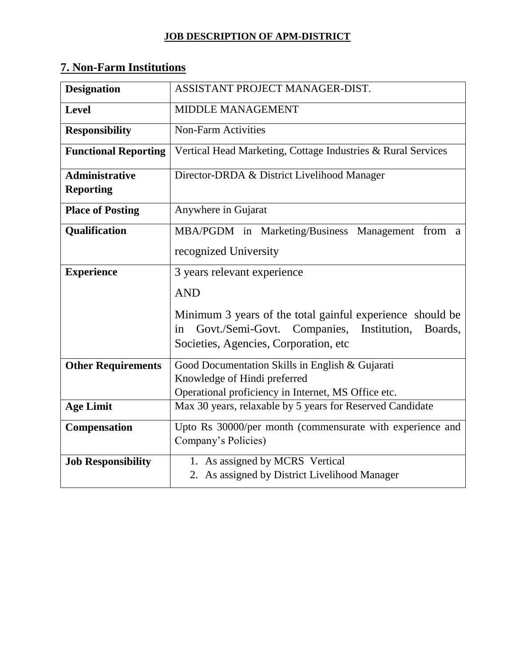| <b>Designation</b>                        | ASSISTANT PROJECT MANAGER-DIST.                              |
|-------------------------------------------|--------------------------------------------------------------|
| <b>Level</b>                              | <b>MIDDLE MANAGEMENT</b>                                     |
| <b>Responsibility</b>                     | <b>Non-Farm Activities</b>                                   |
| <b>Functional Reporting</b>               | Vertical Head Marketing, Cottage Industries & Rural Services |
| <b>Administrative</b><br><b>Reporting</b> | Director-DRDA & District Livelihood Manager                  |
| <b>Place of Posting</b>                   | Anywhere in Gujarat                                          |
| <b>Qualification</b>                      | MBA/PGDM in Marketing/Business Management from<br>- a        |
|                                           | recognized University                                        |
| <b>Experience</b>                         | 3 years relevant experience                                  |
|                                           | <b>AND</b>                                                   |
|                                           | Minimum 3 years of the total gainful experience should be    |
|                                           | Govt./Semi-Govt. Companies, Institution,<br>Boards,<br>in    |
|                                           | Societies, Agencies, Corporation, etc                        |
| <b>Other Requirements</b>                 | Good Documentation Skills in English & Gujarati              |
|                                           | Knowledge of Hindi preferred                                 |
|                                           | Operational proficiency in Internet, MS Office etc.          |
| <b>Age Limit</b>                          | Max 30 years, relaxable by 5 years for Reserved Candidate    |
| <b>Compensation</b>                       | Upto Rs 30000/per month (commensurate with experience and    |
|                                           | Company's Policies)                                          |
| <b>Job Responsibility</b>                 | 1. As assigned by MCRS Vertical                              |
|                                           | 2. As assigned by District Livelihood Manager                |

# **7. Non-Farm Institutions**